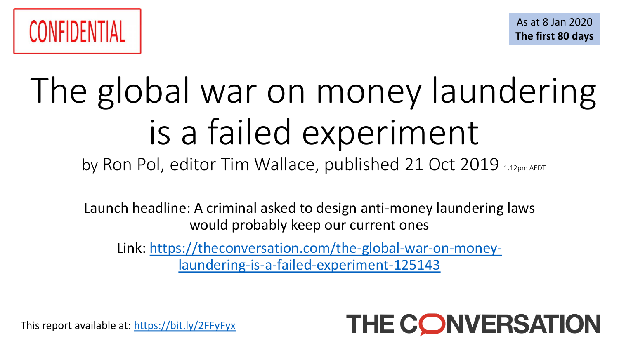

# The global war on money laundering is a failed experiment

by Ron Pol, editor Tim Wallace, published 21 Oct 2019 1.12pm AEDT

Launch headline: A criminal asked to design anti-money laundering laws would probably keep our current ones

Link: [https://theconversation.com/the-global-war-on-money](https://theconversation.com/the-global-war-on-money-laundering-is-a-failed-experiment-125143)laundering-is-a-failed-experiment-125143



This report available at: <https://bit.ly/2FFyFyx>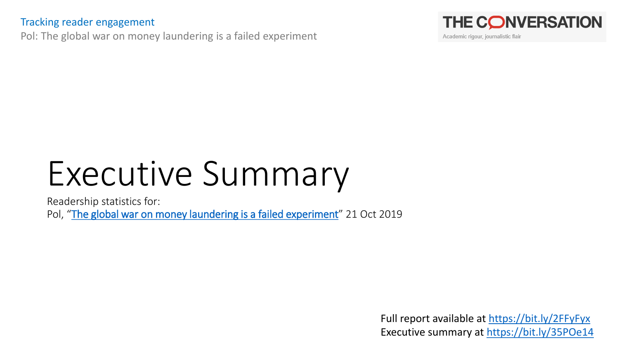#### Tracking reader engagement

Pol: The global war on money laundering is a failed experiment



Academic rigour, journalistic flair

## Executive Summary

Readership statistics for: Pol, "[The global war on money laundering is a failed experiment](https://theconversation.com/the-global-war-on-money-laundering-is-a-failed-experiment-125143)" 21 Oct 2019

> Full report available at <https://bit.ly/2FFyFyx> Executive summary at <https://bit.ly/35POe14>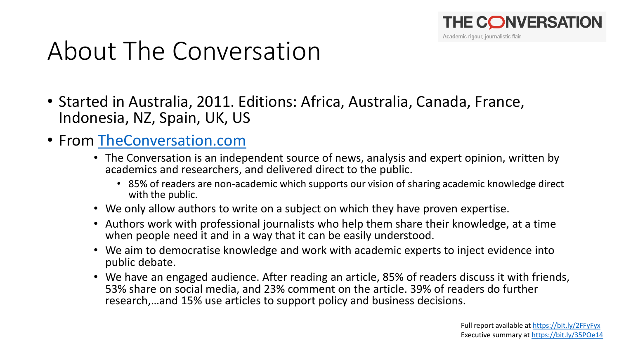

#### About The Conversation

- Started in Australia, 2011. Editions: Africa, Australia, Canada, France, Indonesia, NZ, Spain, UK, US
- From [TheConversation.com](https://theconversation.com/)
	- The Conversation is an independent source of news, analysis and expert opinion, written by academics and researchers, and delivered direct to the public.
		- 85% of readers are non-academic which supports our vision of sharing academic knowledge direct with the public.
	- We only allow authors to write on a subject on which they have proven expertise.
	- Authors work with professional journalists who help them share their knowledge, at a time when people need it and in a way that it can be easily understood.
	- We aim to democratise knowledge and work with academic experts to inject evidence into public debate.
	- We have an engaged audience. After reading an article, 85% of readers discuss it with friends, 53% share on social media, and 23% comment on the article. 39% of readers do further research,…and 15% use articles to support policy and business decisions.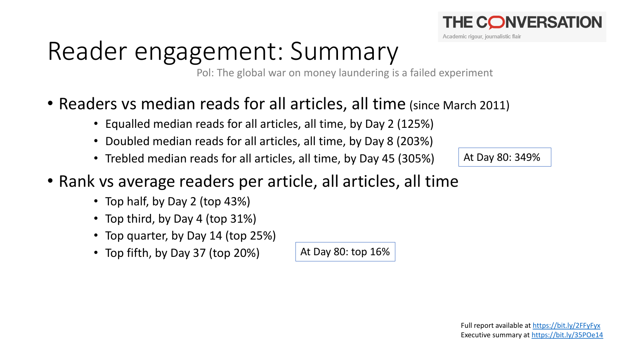

#### Reader engagement: Summary

Pol: The global war on money laundering is a failed experiment

- Readers vs median reads for all articles, all time (since March 2011)
	- Equalled median reads for all articles, all time, by Day 2 (125%)
	- Doubled median reads for all articles, all time, by Day 8 (203%)
	- Trebled median reads for all articles, all time, by Day 45 (305%)
- Rank vs average readers per article, all articles, all time
	- Top half, by Day 2 (top 43%)
	- Top third, by Day 4 (top 31%)
	- Top quarter, by Day 14 (top 25%)
	- Top fifth, by Day 37 (top 20%)

At Day 80: top 16%

At Day 80: 349%